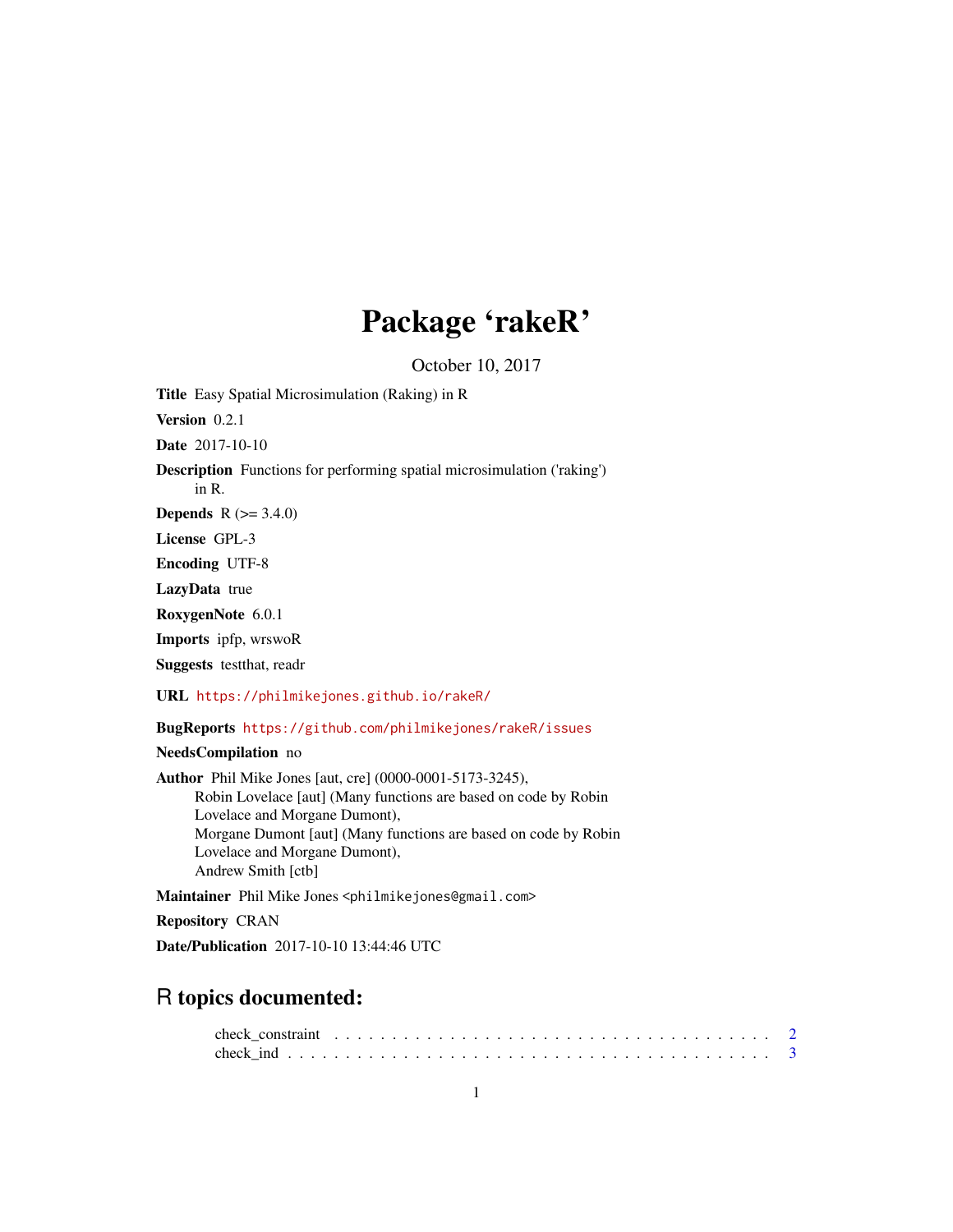# Package 'rakeR'

October 10, 2017

Title Easy Spatial Microsimulation (Raking) in R Version 0.2.1 Date 2017-10-10 Description Functions for performing spatial microsimulation ('raking') in R. **Depends**  $R (= 3.4.0)$ License GPL-3 Encoding UTF-8 LazyData true RoxygenNote 6.0.1 Imports ipfp, wrswoR Suggests testthat, readr URL <https://philmikejones.github.io/rakeR/> BugReports <https://github.com/philmikejones/rakeR/issues> NeedsCompilation no Author Phil Mike Jones [aut, cre] (0000-0001-5173-3245), Robin Lovelace [aut] (Many functions are based on code by Robin Lovelace and Morgane Dumont), Morgane Dumont [aut] (Many functions are based on code by Robin Lovelace and Morgane Dumont), Andrew Smith [ctb]

Maintainer Phil Mike Jones <philmikejones@gmail.com>

Repository CRAN

Date/Publication 2017-10-10 13:44:46 UTC

# R topics documented: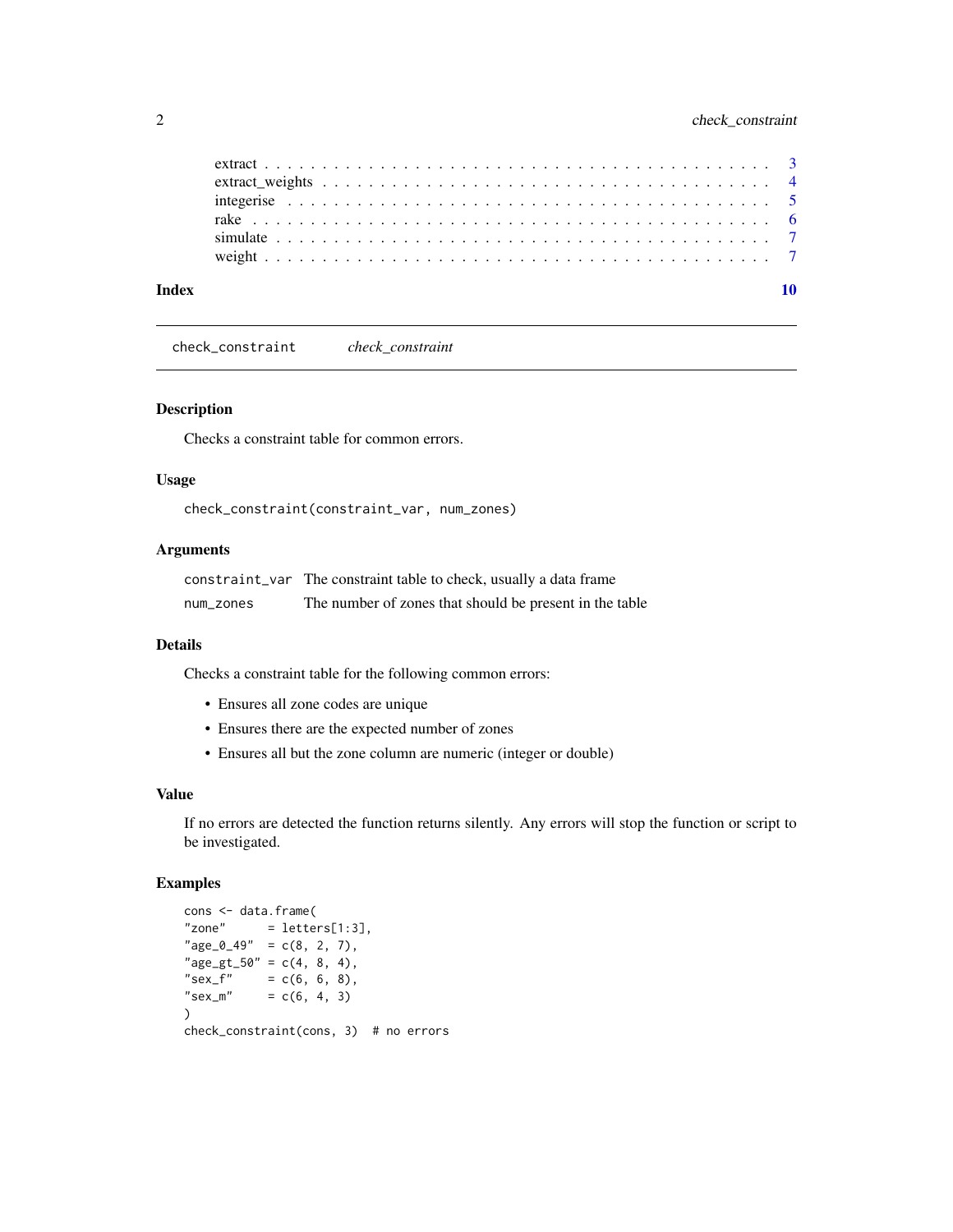<span id="page-1-0"></span>

| Index |  |  |  |  |  |  |  |  |  |  |  |  |  |  |  |  |  |
|-------|--|--|--|--|--|--|--|--|--|--|--|--|--|--|--|--|--|
|       |  |  |  |  |  |  |  |  |  |  |  |  |  |  |  |  |  |
|       |  |  |  |  |  |  |  |  |  |  |  |  |  |  |  |  |  |
|       |  |  |  |  |  |  |  |  |  |  |  |  |  |  |  |  |  |
|       |  |  |  |  |  |  |  |  |  |  |  |  |  |  |  |  |  |
|       |  |  |  |  |  |  |  |  |  |  |  |  |  |  |  |  |  |
|       |  |  |  |  |  |  |  |  |  |  |  |  |  |  |  |  |  |

check\_constraint *check\_constraint*

# Description

Checks a constraint table for common errors.

#### Usage

check\_constraint(constraint\_var, num\_zones)

#### Arguments

| constraint var | The constraint table to check, usually a data frame     |
|----------------|---------------------------------------------------------|
| num zones      | The number of zones that should be present in the table |

#### Details

Checks a constraint table for the following common errors:

- Ensures all zone codes are unique
- Ensures there are the expected number of zones
- Ensures all but the zone column are numeric (integer or double)

#### Value

If no errors are detected the function returns silently. Any errors will stop the function or script to be investigated.

```
cons <- data.frame(
"zone" = letters[1:3],"age_0_49" = c(8, 2, 7),"age_gt_50" = c(4, 8, 4),"sex\_f" = c(6, 6, 8),"sex_m" = c(6, 4, 3)\mathcal{L}check_constraint(cons, 3) # no errors
```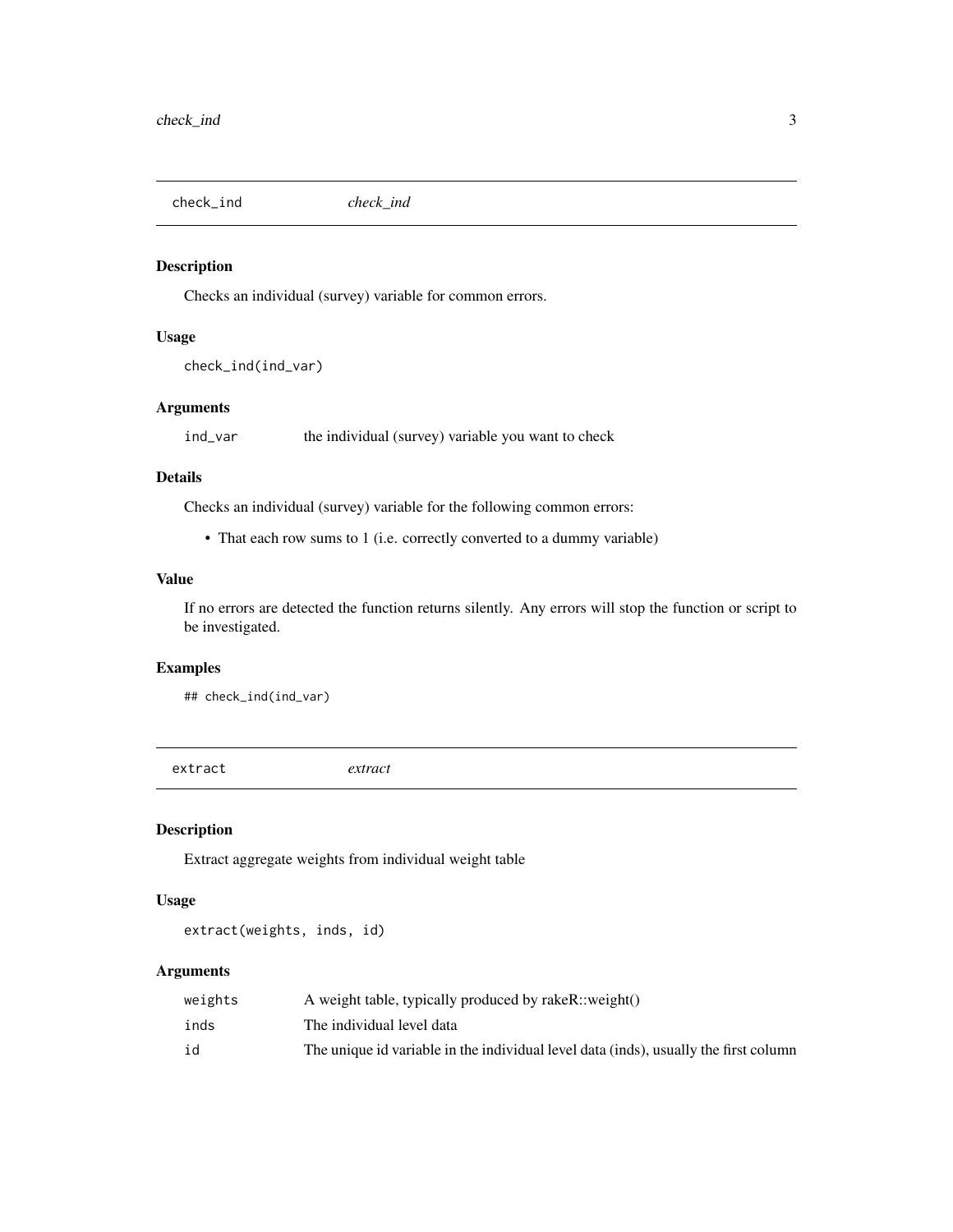<span id="page-2-0"></span>check\_ind *check\_ind*

# Description

Checks an individual (survey) variable for common errors.

#### Usage

```
check_ind(ind_var)
```
# Arguments

ind\_var the individual (survey) variable you want to check

### Details

Checks an individual (survey) variable for the following common errors:

• That each row sums to 1 (i.e. correctly converted to a dummy variable)

#### Value

If no errors are detected the function returns silently. Any errors will stop the function or script to be investigated.

# Examples

## check\_ind(ind\_var)

extract *extract*

# Description

Extract aggregate weights from individual weight table

# Usage

```
extract(weights, inds, id)
```
# Arguments

| weights | A weight table, typically produced by rakeR::weight()                                |
|---------|--------------------------------------------------------------------------------------|
| inds    | The individual level data                                                            |
| id      | The unique id variable in the individual level data (inds), usually the first column |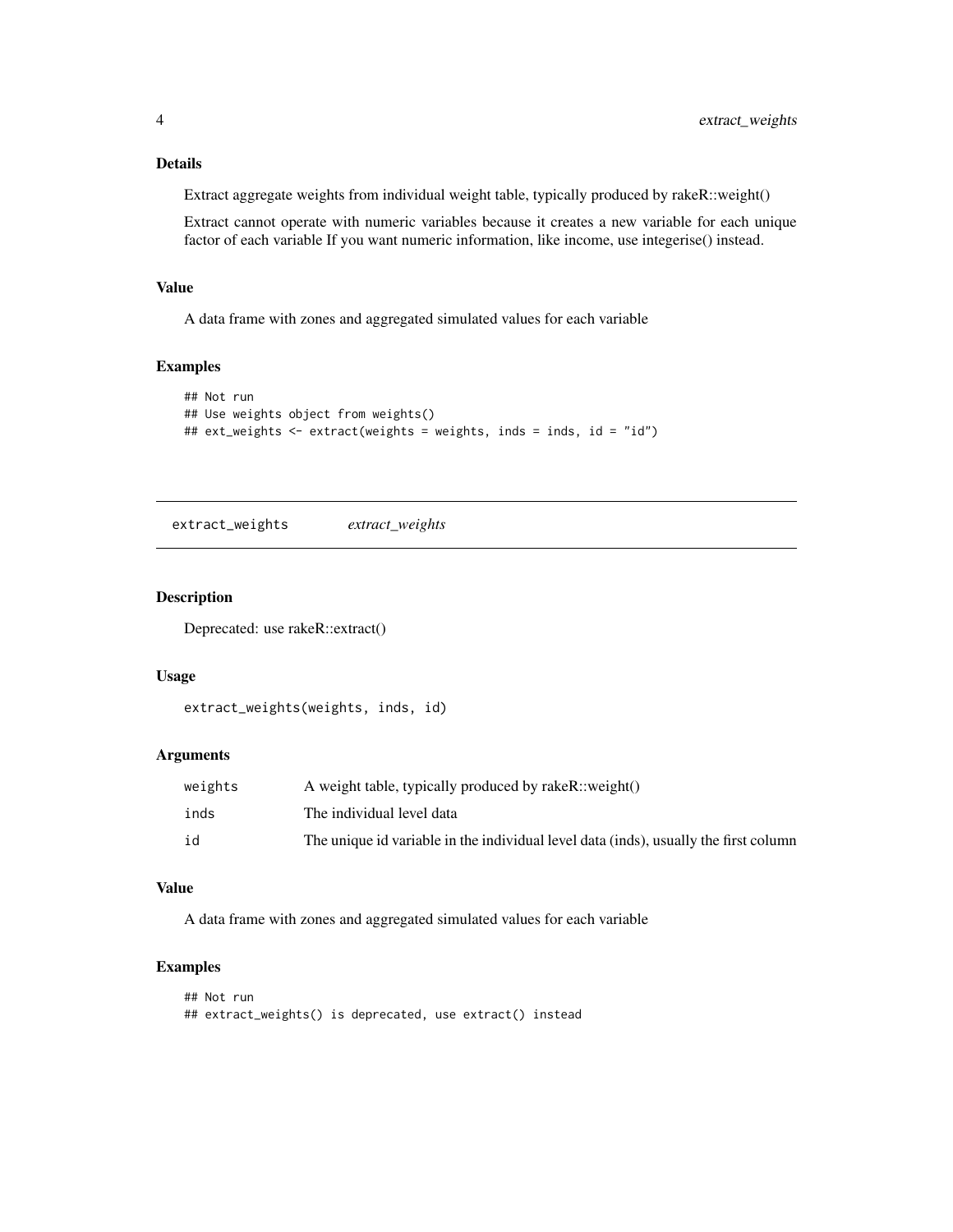# <span id="page-3-0"></span>Details

Extract aggregate weights from individual weight table, typically produced by rakeR::weight()

Extract cannot operate with numeric variables because it creates a new variable for each unique factor of each variable If you want numeric information, like income, use integerise() instead.

#### Value

A data frame with zones and aggregated simulated values for each variable

# Examples

```
## Not run
## Use weights object from weights()
## ext_weights <- extract(weights = weights, inds = inds, id = "id")
```
extract\_weights *extract\_weights*

# Description

Deprecated: use rakeR::extract()

#### Usage

```
extract_weights(weights, inds, id)
```
#### Arguments

| weights | A weight table, typically produced by rakeR::weight()                                |
|---------|--------------------------------------------------------------------------------------|
| inds    | The individual level data                                                            |
| id      | The unique id variable in the individual level data (inds), usually the first column |

#### Value

A data frame with zones and aggregated simulated values for each variable

```
## Not run
## extract_weights() is deprecated, use extract() instead
```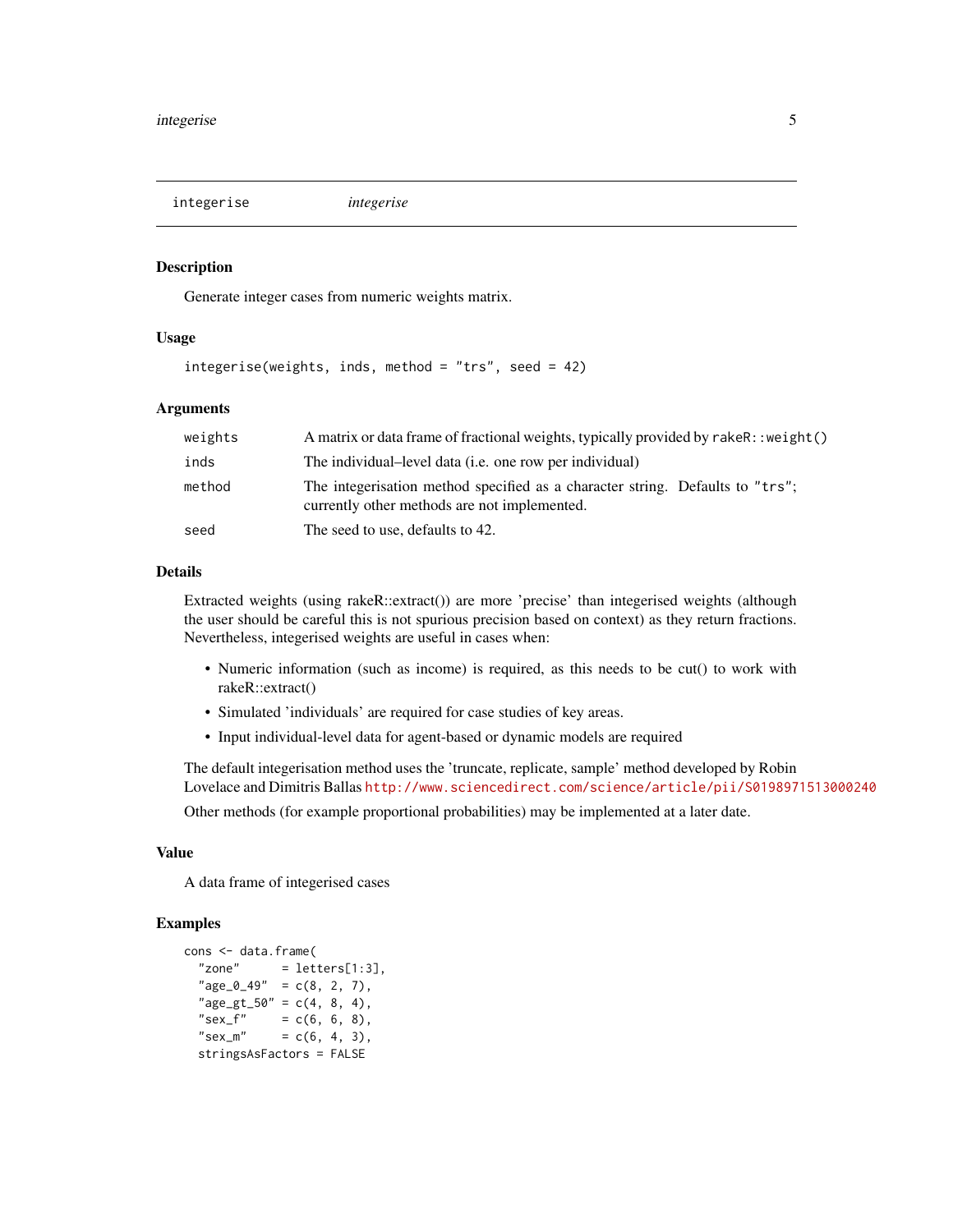<span id="page-4-0"></span>integerise *integerise*

#### Description

Generate integer cases from numeric weights matrix.

#### Usage

integerise(weights, inds, method = "trs", seed = 42)

#### Arguments

| weights | A matrix or data frame of fractional weights, typically provided by rakeR:: weight()                                          |
|---------|-------------------------------------------------------------------------------------------------------------------------------|
| inds    | The individual-level data <i>(i.e.</i> one row per individual)                                                                |
| method  | The integerisation method specified as a character string. Defaults to "trs";<br>currently other methods are not implemented. |
| seed    | The seed to use, defaults to 42.                                                                                              |

# Details

Extracted weights (using rakeR::extract()) are more 'precise' than integerised weights (although the user should be careful this is not spurious precision based on context) as they return fractions. Nevertheless, integerised weights are useful in cases when:

- Numeric information (such as income) is required, as this needs to be cut() to work with rakeR::extract()
- Simulated 'individuals' are required for case studies of key areas.
- Input individual-level data for agent-based or dynamic models are required

The default integerisation method uses the 'truncate, replicate, sample' method developed by Robin Lovelace and Dimitris Ballas <http://www.sciencedirect.com/science/article/pii/S0198971513000240>

Other methods (for example proportional probabilities) may be implemented at a later date.

### Value

A data frame of integerised cases

```
cons <- data.frame(
  "zone" = letters[1:3],"age_0_49" = c(8, 2, 7),"age_gt_50" = c(4, 8, 4),"sex_f" = c(6, 6, 8),<br>"sex_m" = c(6, 4, 3),
              = c(6, 4, 3),stringsAsFactors = FALSE
```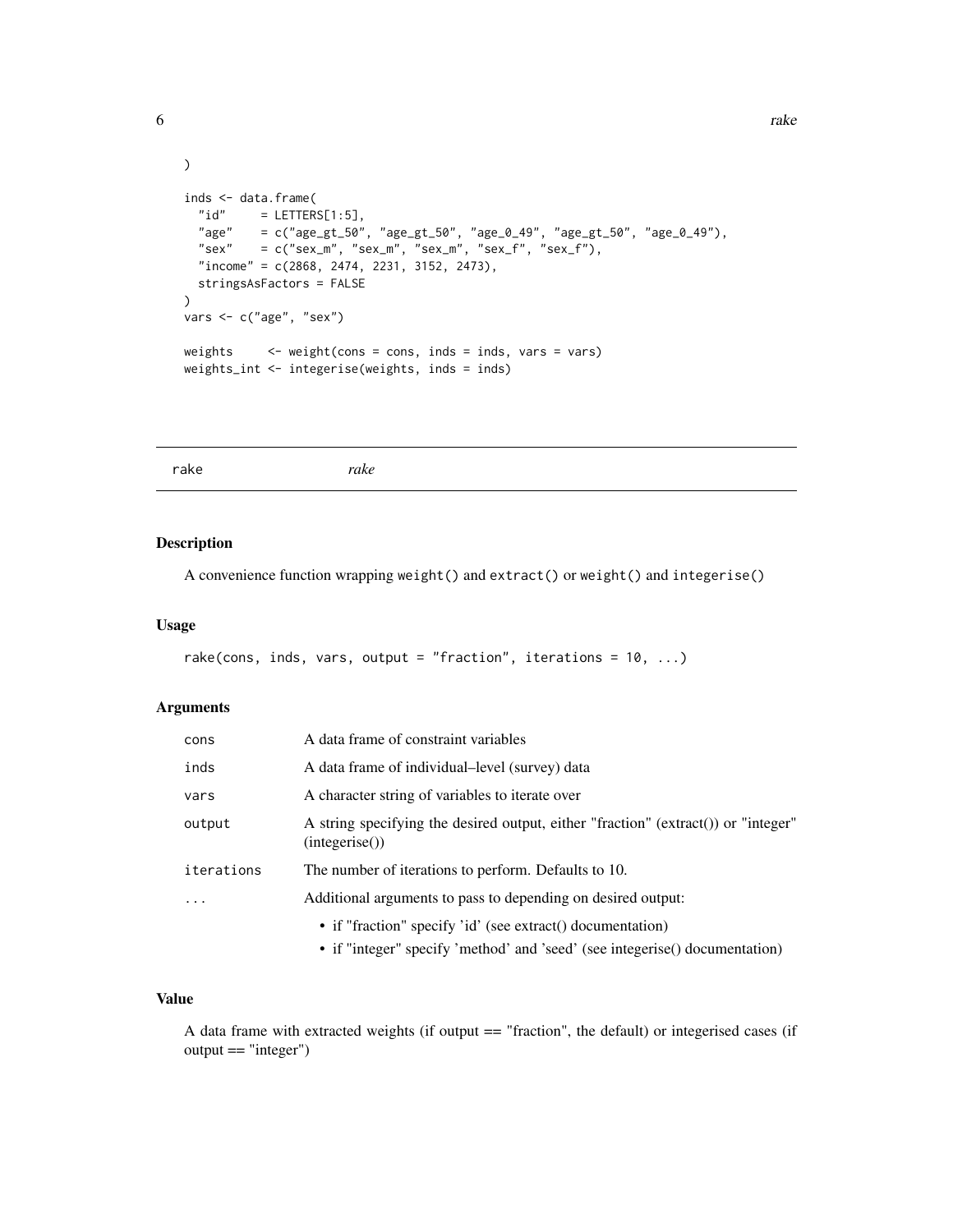```
6 rake to the contract of the contract of the contract of the contract of the contract of the contract of the contract of the contract of the contract of the contract of the contract of the contract of the contract of the
```

```
\mathcal{L}inds \leq data.frame(<br>"id" = LETTERS
         = LETTERS[1:5],
  "age" = c("age_gt_50", "age_gt_50", "age_gt_49", "age_gt_50", "age_gt_20", "age_gt_40","sex" = c("sex_m", "sex_m", "sex_m", "sex_m", "sex_f", "sex_f","income" = c(2868, 2474, 2231, 3152, 2473),
  stringsAsFactors = FALSE
\lambdavars <- c("age", "sex")
weights \leq weight(cons = cons, inds = inds, vars = vars)
weights_int <- integerise(weights, inds = inds)
```
# Description

A convenience function wrapping weight() and extract() or weight() and integerise()

### Usage

```
rake(cons, inds, vars, output = "fraction", iterations = 10, ...)
```
#### Arguments

| cons       | A data frame of constraint variables                                                                |
|------------|-----------------------------------------------------------------------------------------------------|
| inds       | A data frame of individual-level (survey) data                                                      |
| vars       | A character string of variables to iterate over                                                     |
| output     | A string specifying the desired output, either "fraction" (extract()) or "integer"<br>(integerise() |
| iterations | The number of iterations to perform. Defaults to 10.                                                |
|            | Additional arguments to pass to depending on desired output:                                        |
|            | • if "fraction" specify 'id' (see extract) documentation)                                           |
|            | • if "integer" specify 'method' and 'seed' (see integerise() documentation)                         |

# Value

A data frame with extracted weights (if output == "fraction", the default) or integerised cases (if output == "integer")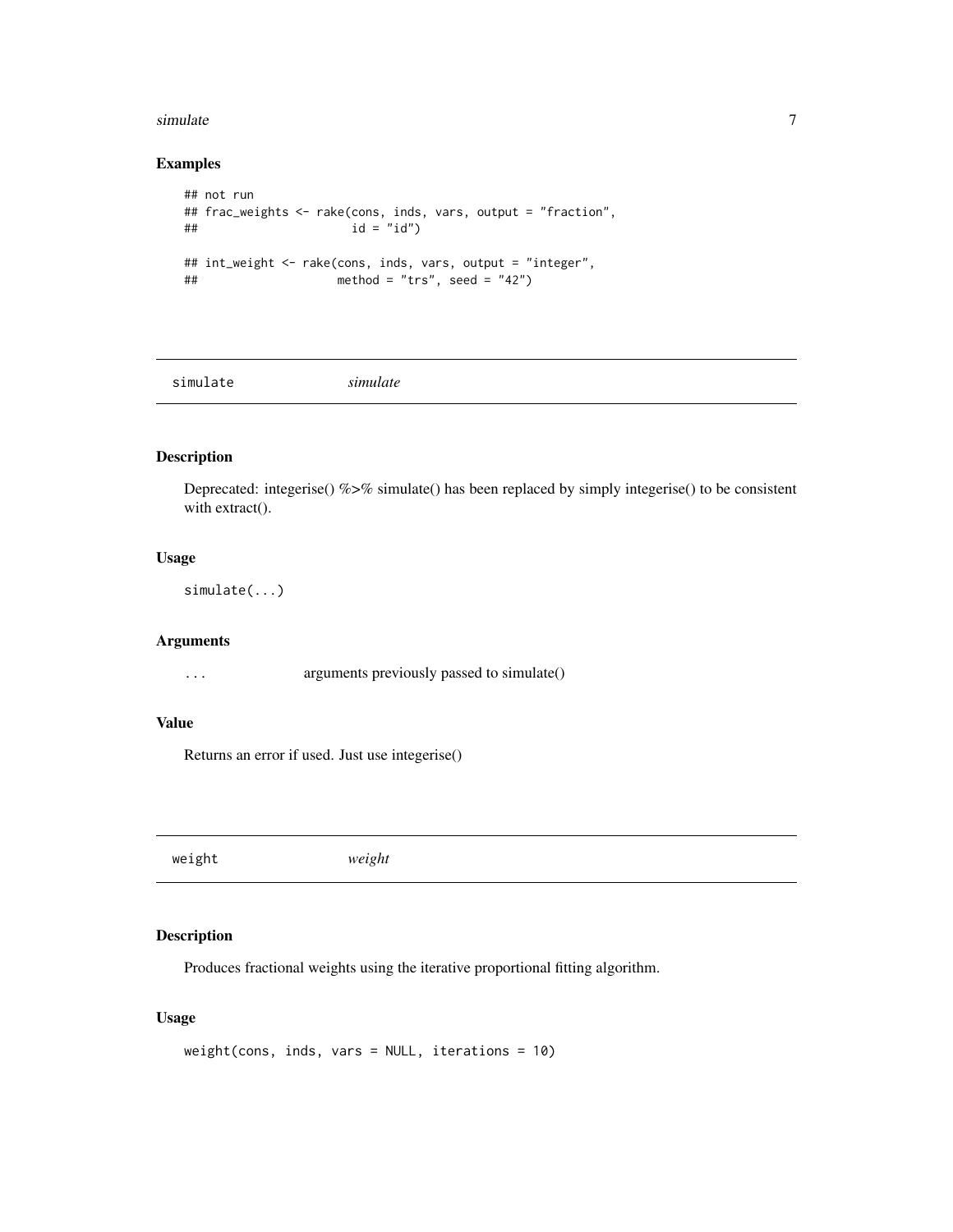#### <span id="page-6-0"></span>simulate 7 and 7 and 7 and 7 and 7 and 7 and 7 and 7 and 7 and 7 and 7 and 7 and 7 and 7 and 7 and 7 and 7 and 7 and 7 and 7 and 7 and 7 and 7 and 7 and 7 and 7 and 7 and 7 and 7 and 7 and 7 and 7 and 7 and 7 and 7 and 7 a

# Examples

```
## not run
## frac_weights <- rake(cons, inds, vars, output = "fraction",
## id = "id")
## int_weight <- rake(cons, inds, vars, output = "integer",
## method = "trs", seed = "42")
```
simulate *simulate*

# Description

Deprecated: integerise() %>% simulate() has been replaced by simply integerise() to be consistent with extract().

# Usage

simulate(...)

#### Arguments

... arguments previously passed to simulate()

# Value

Returns an error if used. Just use integerise()

weight *weight*

## Description

Produces fractional weights using the iterative proportional fitting algorithm.

# Usage

```
weight(cons, inds, vars = NULL, iterations = 10)
```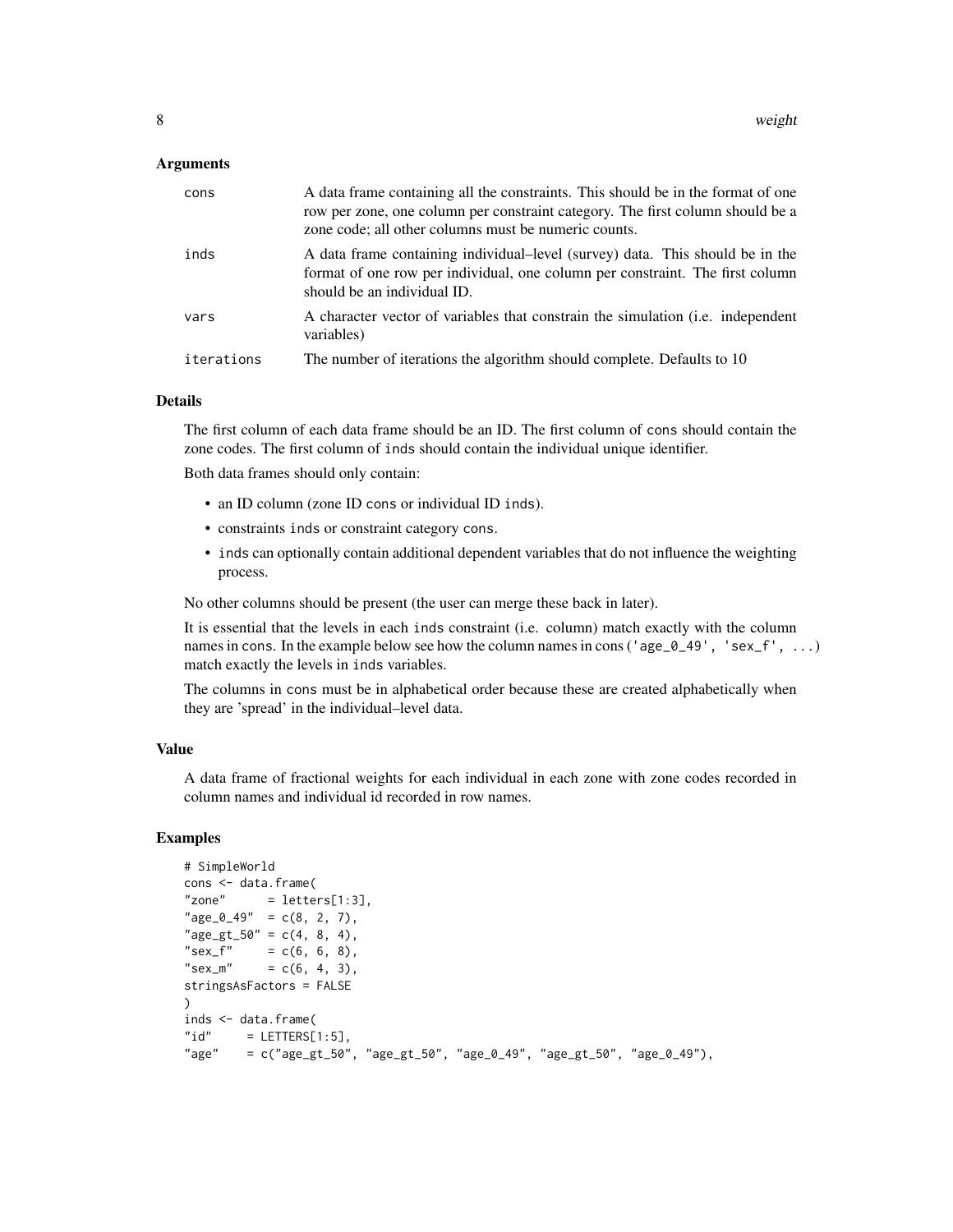#### Arguments

| cons       | A data frame containing all the constraints. This should be in the format of one<br>row per zone, one column per constraint category. The first column should be a<br>zone code; all other columns must be numeric counts. |
|------------|----------------------------------------------------------------------------------------------------------------------------------------------------------------------------------------------------------------------------|
| inds       | A data frame containing individual-level (survey) data. This should be in the<br>format of one row per individual, one column per constraint. The first column<br>should be an individual ID.                              |
| vars       | A character vector of variables that constrain the simulation ( <i>i.e.</i> independent<br>variables)                                                                                                                      |
| iterations | The number of iterations the algorithm should complete. Defaults to 10                                                                                                                                                     |

#### Details

The first column of each data frame should be an ID. The first column of cons should contain the zone codes. The first column of inds should contain the individual unique identifier.

Both data frames should only contain:

- an ID column (zone ID cons or individual ID inds).
- constraints inds or constraint category cons.
- inds can optionally contain additional dependent variables that do not influence the weighting process.

No other columns should be present (the user can merge these back in later).

It is essential that the levels in each inds constraint (i.e. column) match exactly with the column names in cons. In the example below see how the column names in cons ('age\_0\_49', 'sex\_f', ...) match exactly the levels in inds variables.

The columns in cons must be in alphabetical order because these are created alphabetically when they are 'spread' in the individual–level data.

#### Value

A data frame of fractional weights for each individual in each zone with zone codes recorded in column names and individual id recorded in row names.

```
# SimpleWorld
cons <- data.frame(
"zone" = letters[1:3],"age_0_49" = c(8, 2, 7),"age_gt_50" = c(4, 8, 4),
"sex_{f''} = c(6, 6, 8),
"sex_m" = c(6, 4, 3),stringsAsFactors = FALSE
)
inds <- data.frame(
"id" = LETTERS[1:5],"age" = c("age_gt_50", "age_gt_50", "age_0_49", "age_gt_50", "age_0_49"),
```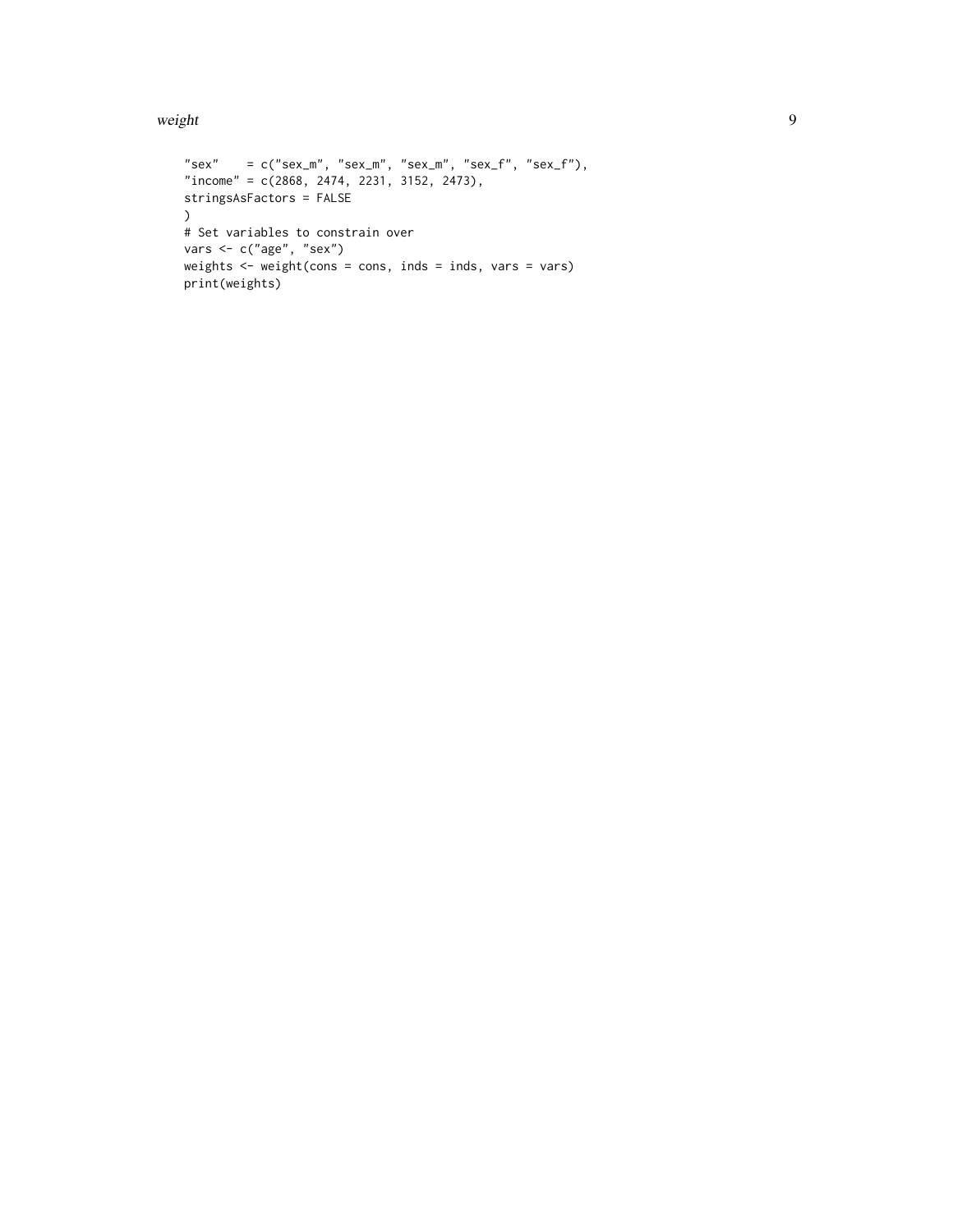weight 9

```
"sex" = c("sex_m", "sex_m", "sex_m", "sex_m", "sex_f", "sex_f","income" = c(2868, 2474, 2231, 3152, 2473),
stringsAsFactors = FALSE
\lambda# Set variables to constrain over
vars <- c("age", "sex")
weights \leq weight(cons = cons, inds = inds, vars = vars)
print(weights)
```